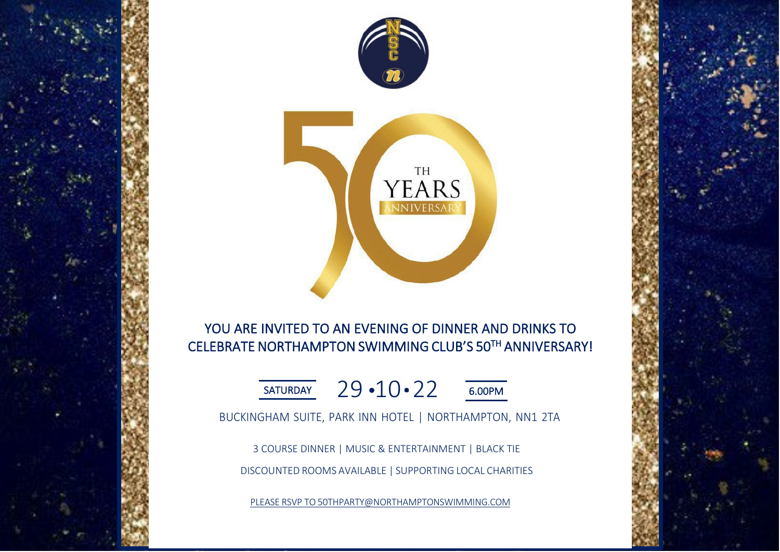

YOU ARE INVITED TO AN EVENING OF DINNER AND DRINKS TO CELEBRATE NORTHAMPTON SWIMMING CLUB'S 50TH ANNIVERSARY!



BUCKINGHAM SUITE, PARK INN HOTEL | NORTHAMPTON, NN1 2TA

3 COURSE DINNER | MUSIC & ENTERTAINMENT | BLACK TIE DISCOUNTED ROOMS AVAILABLE | SUPPORTING LOCAL CHARITIES

PLEASE RSVP TO [50THPARTY@NORTHAMPTONSWIMMING.COM](mailto:PLEASERSVPTO50THPARTY@NORTHAMPTONSWIMMING.COM)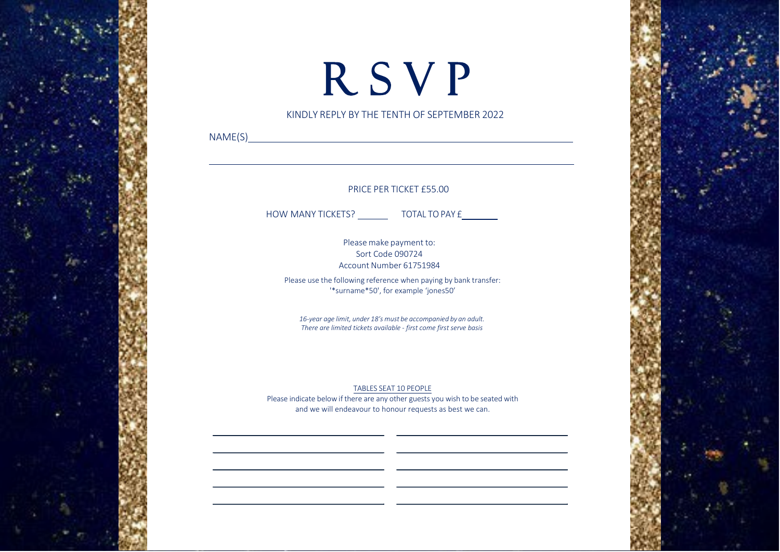

## R S V P

#### KINDLY REPLY BY THE TENTH OF SEPTEMBER 2022

<u> 1989 - Johann Barbara, martxa alemaniar amerikan a</u>

NAME(S)

#### PRICE PER TICKET £55.00

HOW MANY TICKETS? \_\_\_\_\_\_\_\_\_\_\_ TOTAL TO PAY £\_\_\_\_\_\_\_\_

<u>and the community of the community of the community of the community of the community of the community of the com</u> 

Please make payment to: Please make payment to: Sort Code: 090724 Account Number: Account Number 61751984 Sort Code 090724

Please use the following reference when paying by bank transfer: '\*surname\*50', for example 'jones50'

*16-year age limit, under 18's must be accompanied by an adult. There are limited tickets available - first come first serve basis*

#### TABLES SEAT 10 PEOPLE

Please indicate below if there are any other guests you wish to be seated with and we will endeavour to honour requests as best we can.